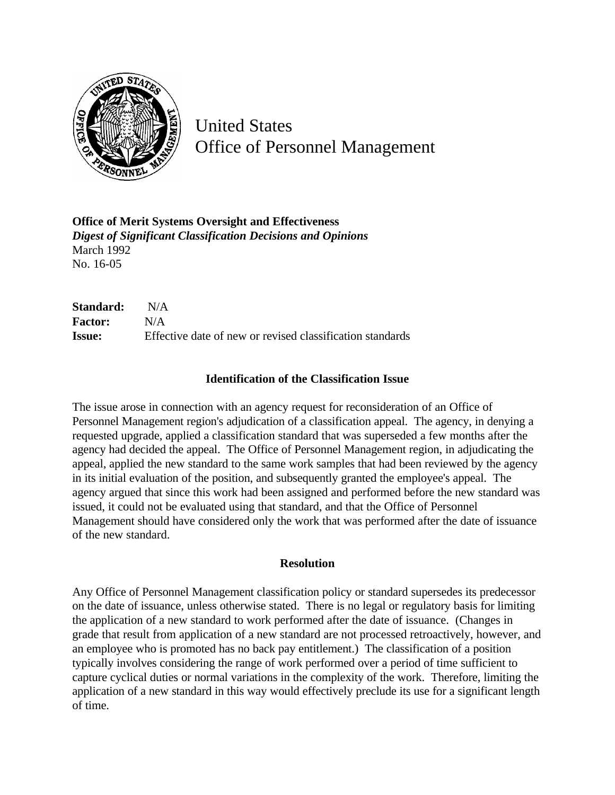

United States Office of Personnel Management

**Office of Merit Systems Oversight and Effectiveness** *Digest of Significant Classification Decisions and Opinions* March 1992 No. 16-05

**Standard:** N/A **Factor:** N/A **Issue:** Effective date of new or revised classification standards

## **Identification of the Classification Issue**

The issue arose in connection with an agency request for reconsideration of an Office of Personnel Management region's adjudication of a classification appeal. The agency, in denying a requested upgrade, applied a classification standard that was superseded a few months after the agency had decided the appeal. The Office of Personnel Management region, in adjudicating the appeal, applied the new standard to the same work samples that had been reviewed by the agency in its initial evaluation of the position, and subsequently granted the employee's appeal. The agency argued that since this work had been assigned and performed before the new standard was issued, it could not be evaluated using that standard, and that the Office of Personnel Management should have considered only the work that was performed after the date of issuance of the new standard.

## **Resolution**

Any Office of Personnel Management classification policy or standard supersedes its predecessor on the date of issuance, unless otherwise stated. There is no legal or regulatory basis for limiting the application of a new standard to work performed after the date of issuance. (Changes in grade that result from application of a new standard are not processed retroactively, however, and an employee who is promoted has no back pay entitlement.) The classification of a position typically involves considering the range of work performed over a period of time sufficient to capture cyclical duties or normal variations in the complexity of the work. Therefore, limiting the application of a new standard in this way would effectively preclude its use for a significant length of time.